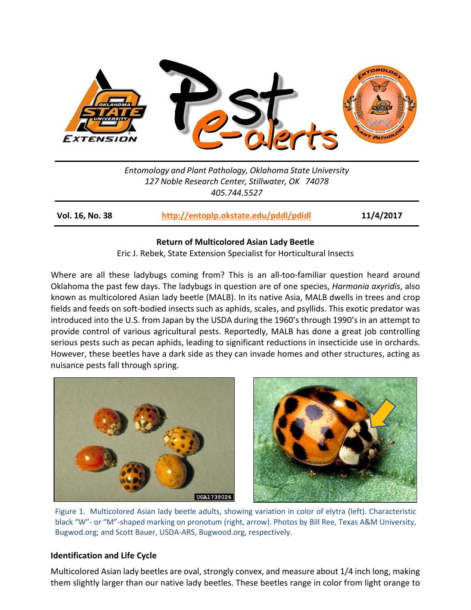

*Entomology and Plant Pathology, Oklahoma State University 127 Noble Research Center, Stillwater, OK 74078 405.744.5527*

**Vol. 16, No. 38 <http://entoplp.okstate.edu/pddl/pdidl> 11/4/2017**

# **Return of Multicolored Asian Lady Beetle**

Eric J. Rebek, State Extension Specialist for Horticultural Insects

Where are all these ladybugs coming from? This is an all-too-familiar question heard around Oklahoma the past few days. The ladybugs in question are of one species, *Harmonia axyridis*, also known as multicolored Asian lady beetle (MALB). In its native Asia, MALB dwells in trees and crop fields and feeds on soft-bodied insects such as aphids, scales, and psyllids. This exotic predator was introduced into the U.S. from Japan by the USDA during the 1960's through 1990's in an attempt to provide control of various agricultural pests. Reportedly, MALB has done a great job controlling serious pests such as pecan aphids, leading to significant reductions in insecticide use in orchards. However, these beetles have a dark side as they can invade homes and other structures, acting as nuisance pests fall through spring.





Figure 1. Multicolored Asian lady beetle adults, showing variation in color of elytra (left). Characteristic black "W"- or "M"-shaped marking on pronotum (right, arrow). Photos by Bill Ree, Texas A&M University, Bugwod.org; and Scott Bauer, USDA-ARS, Bugwood.org, respectively.

# **Identification and Life Cycle**

Multicolored Asian lady beetles are oval, strongly convex, and measure about 1/4 inch long, making them slightly larger than our native lady beetles. These beetles range in color from light orange to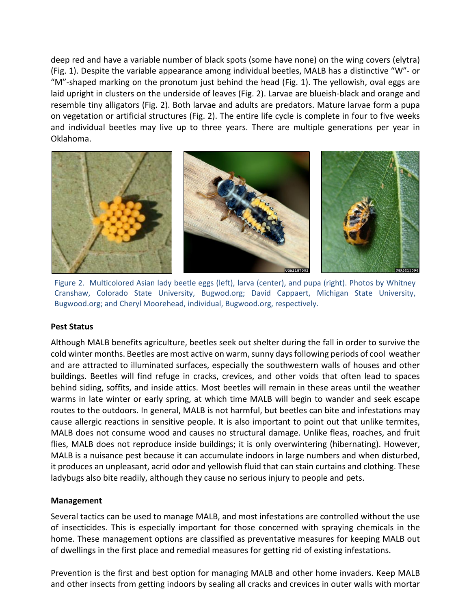deep red and have a variable number of black spots (some have none) on the wing covers (elytra) (Fig. 1). Despite the variable appearance among individual beetles, MALB has a distinctive "W"- or "M"-shaped marking on the pronotum just behind the head (Fig. 1). The yellowish, oval eggs are laid upright in clusters on the underside of leaves (Fig. 2). Larvae are blueish-black and orange and resemble tiny alligators (Fig. 2). Both larvae and adults are predators. Mature larvae form a pupa on vegetation or artificial structures (Fig. 2). The entire life cycle is complete in four to five weeks and individual beetles may live up to three years. There are multiple generations per year in Oklahoma.



Figure 2. Multicolored Asian lady beetle eggs (left), larva (center), and pupa (right). Photos by Whitney Cranshaw, Colorado State University, Bugwod.org; David Cappaert, Michigan State University, Bugwood.org; and Cheryl Moorehead, individual, Bugwood.org, respectively.

### **Pest Status**

Although MALB benefits agriculture, beetles seek out shelter during the fall in order to survive the cold winter months. Beetles are most active on warm, sunny days following periods of cool weather and are attracted to illuminated surfaces, especially the southwestern walls of houses and other buildings. Beetles will find refuge in cracks, crevices, and other voids that often lead to spaces behind siding, soffits, and inside attics. Most beetles will remain in these areas until the weather warms in late winter or early spring, at which time MALB will begin to wander and seek escape routes to the outdoors. In general, MALB is not harmful, but beetles can bite and infestations may cause allergic reactions in sensitive people. It is also important to point out that unlike termites, MALB does not consume wood and causes no structural damage. Unlike fleas, roaches, and fruit flies, MALB does not reproduce inside buildings; it is only overwintering (hibernating). However, MALB is a nuisance pest because it can accumulate indoors in large numbers and when disturbed, it produces an unpleasant, acrid odor and yellowish fluid that can stain curtains and clothing. These ladybugs also bite readily, although they cause no serious injury to people and pets.

# **Management**

Several tactics can be used to manage MALB, and most infestations are controlled without the use of insecticides. This is especially important for those concerned with spraying chemicals in the home. These management options are classified as preventative measures for keeping MALB out of dwellings in the first place and remedial measures for getting rid of existing infestations.

Prevention is the first and best option for managing MALB and other home invaders. Keep MALB and other insects from getting indoors by sealing all cracks and crevices in outer walls with mortar